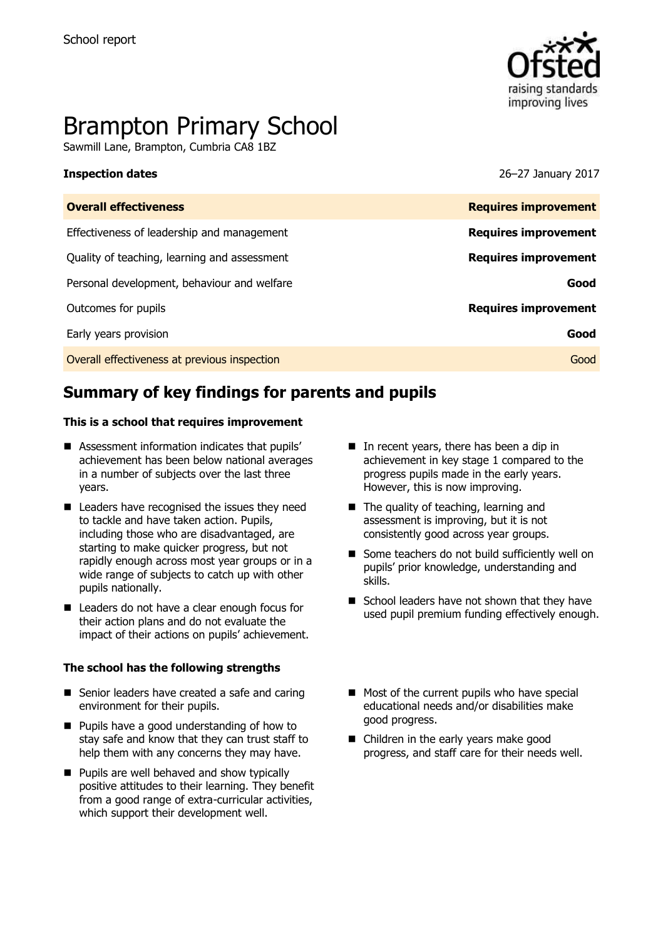

# Brampton Primary School

Sawmill Lane, Brampton, Cumbria CA8 1BZ

**Inspection dates** 26–27 January 2017

| <b>Overall effectiveness</b>                 | <b>Requires improvement</b> |
|----------------------------------------------|-----------------------------|
| Effectiveness of leadership and management   | <b>Requires improvement</b> |
| Quality of teaching, learning and assessment | <b>Requires improvement</b> |
| Personal development, behaviour and welfare  | Good                        |
| Outcomes for pupils                          | <b>Requires improvement</b> |
| Early years provision                        | Good                        |
| Overall effectiveness at previous inspection | Good                        |
|                                              |                             |

# **Summary of key findings for parents and pupils**

#### **This is a school that requires improvement**

- Assessment information indicates that pupils' achievement has been below national averages in a number of subjects over the last three years.
- Leaders have recognised the issues they need to tackle and have taken action. Pupils, including those who are disadvantaged, are starting to make quicker progress, but not rapidly enough across most year groups or in a wide range of subjects to catch up with other pupils nationally.
- Leaders do not have a clear enough focus for their action plans and do not evaluate the impact of their actions on pupils' achievement.

#### **The school has the following strengths**

- Senior leaders have created a safe and caring environment for their pupils.
- **Pupils have a good understanding of how to** stay safe and know that they can trust staff to help them with any concerns they may have.
- **Pupils are well behaved and show typically** positive attitudes to their learning. They benefit from a good range of extra-curricular activities, which support their development well.
- In recent years, there has been a dip in achievement in key stage 1 compared to the progress pupils made in the early years. However, this is now improving.
- The quality of teaching, learning and assessment is improving, but it is not consistently good across year groups.
- Some teachers do not build sufficiently well on pupils' prior knowledge, understanding and skills.
- School leaders have not shown that they have used pupil premium funding effectively enough.
- $\blacksquare$  Most of the current pupils who have special educational needs and/or disabilities make good progress.
- Children in the early years make good progress, and staff care for their needs well.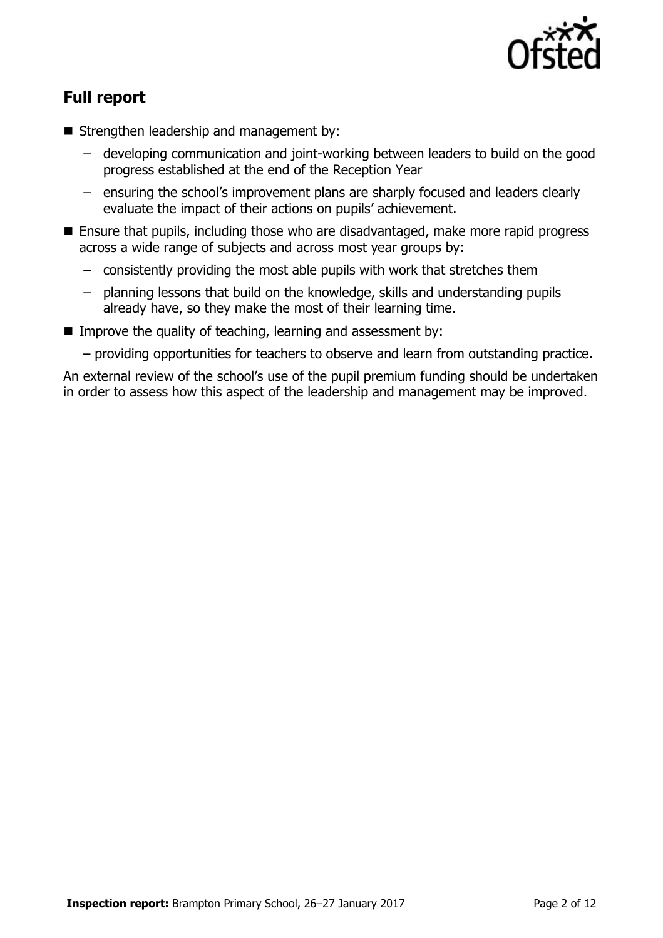

# **Full report**

- Strengthen leadership and management by:
	- developing communication and joint-working between leaders to build on the good progress established at the end of the Reception Year
	- ensuring the school's improvement plans are sharply focused and leaders clearly evaluate the impact of their actions on pupils' achievement.
- Ensure that pupils, including those who are disadvantaged, make more rapid progress across a wide range of subjects and across most year groups by:
	- consistently providing the most able pupils with work that stretches them
	- planning lessons that build on the knowledge, skills and understanding pupils already have, so they make the most of their learning time.
- Improve the quality of teaching, learning and assessment by:
	- providing opportunities for teachers to observe and learn from outstanding practice.

An external review of the school's use of the pupil premium funding should be undertaken in order to assess how this aspect of the leadership and management may be improved.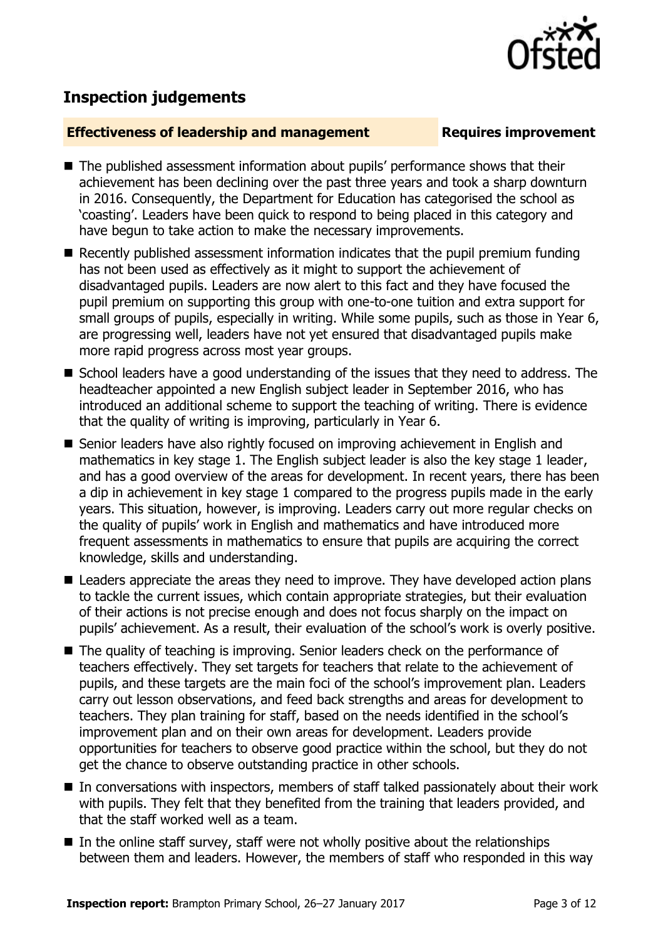

# **Inspection judgements**

#### **Effectiveness of leadership and management Requires improvement**

- The published assessment information about pupils' performance shows that their achievement has been declining over the past three years and took a sharp downturn in 2016. Consequently, the Department for Education has categorised the school as 'coasting'. Leaders have been quick to respond to being placed in this category and have begun to take action to make the necessary improvements.
- Recently published assessment information indicates that the pupil premium funding has not been used as effectively as it might to support the achievement of disadvantaged pupils. Leaders are now alert to this fact and they have focused the pupil premium on supporting this group with one-to-one tuition and extra support for small groups of pupils, especially in writing. While some pupils, such as those in Year 6, are progressing well, leaders have not yet ensured that disadvantaged pupils make more rapid progress across most year groups.
- School leaders have a good understanding of the issues that they need to address. The headteacher appointed a new English subject leader in September 2016, who has introduced an additional scheme to support the teaching of writing. There is evidence that the quality of writing is improving, particularly in Year 6.
- Senior leaders have also rightly focused on improving achievement in English and mathematics in key stage 1. The English subject leader is also the key stage 1 leader, and has a good overview of the areas for development. In recent years, there has been a dip in achievement in key stage 1 compared to the progress pupils made in the early years. This situation, however, is improving. Leaders carry out more regular checks on the quality of pupils' work in English and mathematics and have introduced more frequent assessments in mathematics to ensure that pupils are acquiring the correct knowledge, skills and understanding.
- Leaders appreciate the areas they need to improve. They have developed action plans to tackle the current issues, which contain appropriate strategies, but their evaluation of their actions is not precise enough and does not focus sharply on the impact on pupils' achievement. As a result, their evaluation of the school's work is overly positive.
- The quality of teaching is improving. Senior leaders check on the performance of teachers effectively. They set targets for teachers that relate to the achievement of pupils, and these targets are the main foci of the school's improvement plan. Leaders carry out lesson observations, and feed back strengths and areas for development to teachers. They plan training for staff, based on the needs identified in the school's improvement plan and on their own areas for development. Leaders provide opportunities for teachers to observe good practice within the school, but they do not get the chance to observe outstanding practice in other schools.
- In conversations with inspectors, members of staff talked passionately about their work with pupils. They felt that they benefited from the training that leaders provided, and that the staff worked well as a team.
- $\blacksquare$  In the online staff survey, staff were not wholly positive about the relationships between them and leaders. However, the members of staff who responded in this way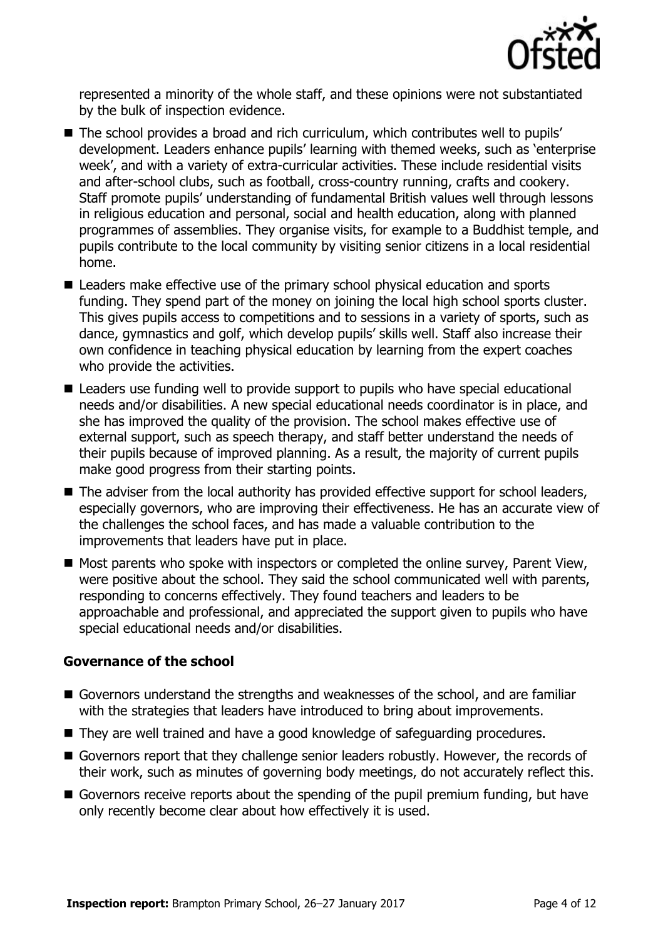

represented a minority of the whole staff, and these opinions were not substantiated by the bulk of inspection evidence.

- The school provides a broad and rich curriculum, which contributes well to pupils' development. Leaders enhance pupils' learning with themed weeks, such as 'enterprise week', and with a variety of extra-curricular activities. These include residential visits and after-school clubs, such as football, cross-country running, crafts and cookery. Staff promote pupils' understanding of fundamental British values well through lessons in religious education and personal, social and health education, along with planned programmes of assemblies. They organise visits, for example to a Buddhist temple, and pupils contribute to the local community by visiting senior citizens in a local residential home.
- Leaders make effective use of the primary school physical education and sports funding. They spend part of the money on joining the local high school sports cluster. This gives pupils access to competitions and to sessions in a variety of sports, such as dance, gymnastics and golf, which develop pupils' skills well. Staff also increase their own confidence in teaching physical education by learning from the expert coaches who provide the activities.
- Leaders use funding well to provide support to pupils who have special educational needs and/or disabilities. A new special educational needs coordinator is in place, and she has improved the quality of the provision. The school makes effective use of external support, such as speech therapy, and staff better understand the needs of their pupils because of improved planning. As a result, the majority of current pupils make good progress from their starting points.
- The adviser from the local authority has provided effective support for school leaders, especially governors, who are improving their effectiveness. He has an accurate view of the challenges the school faces, and has made a valuable contribution to the improvements that leaders have put in place.
- $\blacksquare$  Most parents who spoke with inspectors or completed the online survey, Parent View, were positive about the school. They said the school communicated well with parents, responding to concerns effectively. They found teachers and leaders to be approachable and professional, and appreciated the support given to pupils who have special educational needs and/or disabilities.

### **Governance of the school**

- Governors understand the strengths and weaknesses of the school, and are familiar with the strategies that leaders have introduced to bring about improvements.
- They are well trained and have a good knowledge of safeguarding procedures.
- Governors report that they challenge senior leaders robustly. However, the records of their work, such as minutes of governing body meetings, do not accurately reflect this.
- Governors receive reports about the spending of the pupil premium funding, but have only recently become clear about how effectively it is used.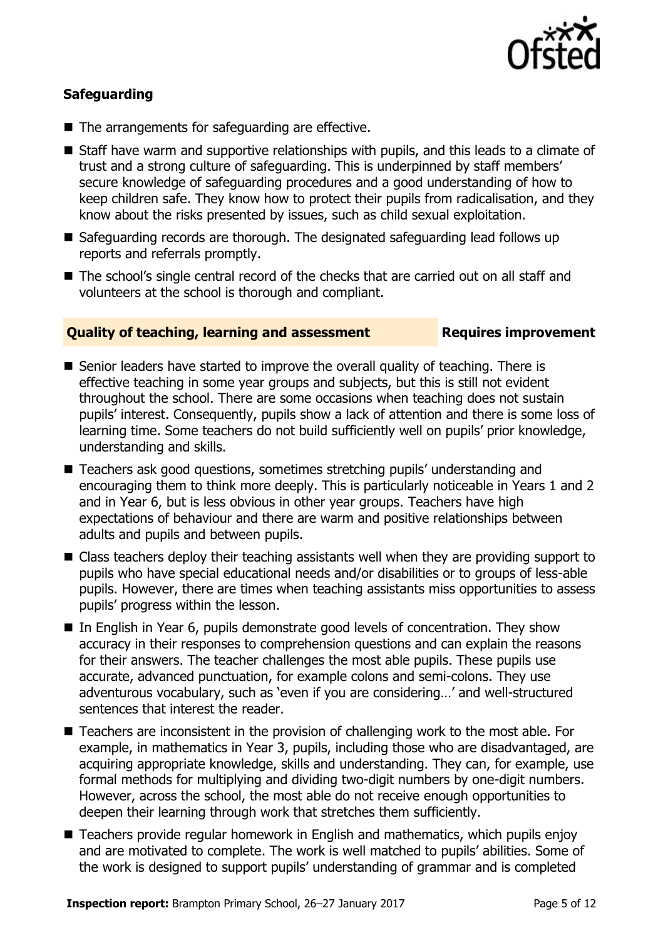

### **Safeguarding**

- The arrangements for safeguarding are effective.
- Staff have warm and supportive relationships with pupils, and this leads to a climate of trust and a strong culture of safeguarding. This is underpinned by staff members' secure knowledge of safeguarding procedures and a good understanding of how to keep children safe. They know how to protect their pupils from radicalisation, and they know about the risks presented by issues, such as child sexual exploitation.
- Safeguarding records are thorough. The designated safeguarding lead follows up reports and referrals promptly.
- The school's single central record of the checks that are carried out on all staff and volunteers at the school is thorough and compliant.

#### **Quality of teaching, learning and assessment Requires improvement**

- Senior leaders have started to improve the overall quality of teaching. There is effective teaching in some year groups and subjects, but this is still not evident throughout the school. There are some occasions when teaching does not sustain pupils' interest. Consequently, pupils show a lack of attention and there is some loss of learning time. Some teachers do not build sufficiently well on pupils' prior knowledge, understanding and skills.
- Teachers ask good questions, sometimes stretching pupils' understanding and encouraging them to think more deeply. This is particularly noticeable in Years 1 and 2 and in Year 6, but is less obvious in other year groups. Teachers have high expectations of behaviour and there are warm and positive relationships between adults and pupils and between pupils.
- Class teachers deploy their teaching assistants well when they are providing support to pupils who have special educational needs and/or disabilities or to groups of less-able pupils. However, there are times when teaching assistants miss opportunities to assess pupils' progress within the lesson.
- In English in Year 6, pupils demonstrate good levels of concentration. They show accuracy in their responses to comprehension questions and can explain the reasons for their answers. The teacher challenges the most able pupils. These pupils use accurate, advanced punctuation, for example colons and semi-colons. They use adventurous vocabulary, such as 'even if you are considering…' and well-structured sentences that interest the reader.
- Teachers are inconsistent in the provision of challenging work to the most able. For example, in mathematics in Year 3, pupils, including those who are disadvantaged, are acquiring appropriate knowledge, skills and understanding. They can, for example, use formal methods for multiplying and dividing two-digit numbers by one-digit numbers. However, across the school, the most able do not receive enough opportunities to deepen their learning through work that stretches them sufficiently.
- Teachers provide regular homework in English and mathematics, which pupils enjoy and are motivated to complete. The work is well matched to pupils' abilities. Some of the work is designed to support pupils' understanding of grammar and is completed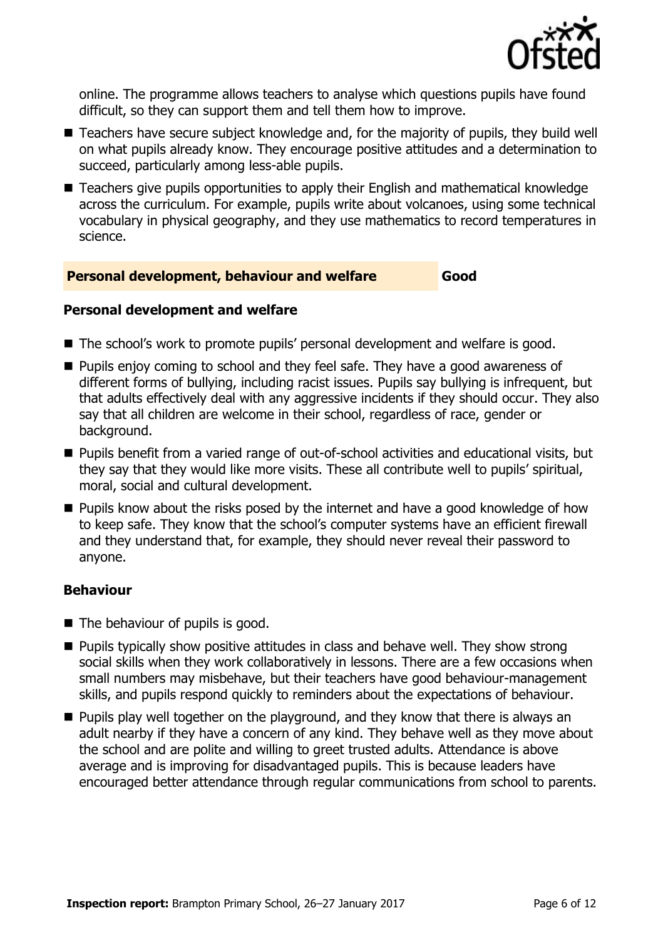

online. The programme allows teachers to analyse which questions pupils have found difficult, so they can support them and tell them how to improve.

- Teachers have secure subject knowledge and, for the majority of pupils, they build well on what pupils already know. They encourage positive attitudes and a determination to succeed, particularly among less-able pupils.
- Teachers give pupils opportunities to apply their English and mathematical knowledge across the curriculum. For example, pupils write about volcanoes, using some technical vocabulary in physical geography, and they use mathematics to record temperatures in science.

#### **Personal development, behaviour and welfare Good**

#### **Personal development and welfare**

- The school's work to promote pupils' personal development and welfare is good.
- **Pupils enjoy coming to school and they feel safe. They have a good awareness of** different forms of bullying, including racist issues. Pupils say bullying is infrequent, but that adults effectively deal with any aggressive incidents if they should occur. They also say that all children are welcome in their school, regardless of race, gender or background.
- Pupils benefit from a varied range of out-of-school activities and educational visits, but they say that they would like more visits. These all contribute well to pupils' spiritual, moral, social and cultural development.
- **Pupils know about the risks posed by the internet and have a good knowledge of how** to keep safe. They know that the school's computer systems have an efficient firewall and they understand that, for example, they should never reveal their password to anyone.

### **Behaviour**

- $\blacksquare$  The behaviour of pupils is good.
- **Pupils typically show positive attitudes in class and behave well. They show strong** social skills when they work collaboratively in lessons. There are a few occasions when small numbers may misbehave, but their teachers have good behaviour-management skills, and pupils respond quickly to reminders about the expectations of behaviour.
- **Pupils play well together on the playground, and they know that there is always an** adult nearby if they have a concern of any kind. They behave well as they move about the school and are polite and willing to greet trusted adults. Attendance is above average and is improving for disadvantaged pupils. This is because leaders have encouraged better attendance through regular communications from school to parents.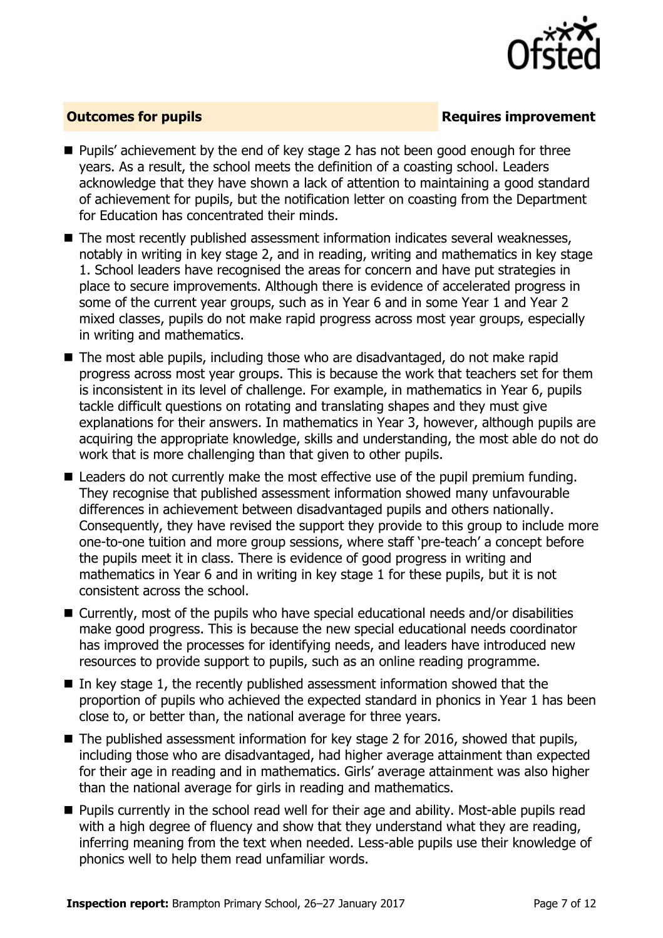

### **Outcomes for pupils Requires improvement**

- Pupils' achievement by the end of key stage 2 has not been good enough for three years. As a result, the school meets the definition of a coasting school. Leaders acknowledge that they have shown a lack of attention to maintaining a good standard of achievement for pupils, but the notification letter on coasting from the Department for Education has concentrated their minds.
- The most recently published assessment information indicates several weaknesses, notably in writing in key stage 2, and in reading, writing and mathematics in key stage 1. School leaders have recognised the areas for concern and have put strategies in place to secure improvements. Although there is evidence of accelerated progress in some of the current year groups, such as in Year 6 and in some Year 1 and Year 2 mixed classes, pupils do not make rapid progress across most year groups, especially in writing and mathematics.
- The most able pupils, including those who are disadvantaged, do not make rapid progress across most year groups. This is because the work that teachers set for them is inconsistent in its level of challenge. For example, in mathematics in Year 6, pupils tackle difficult questions on rotating and translating shapes and they must give explanations for their answers. In mathematics in Year 3, however, although pupils are acquiring the appropriate knowledge, skills and understanding, the most able do not do work that is more challenging than that given to other pupils.
- Leaders do not currently make the most effective use of the pupil premium funding. They recognise that published assessment information showed many unfavourable differences in achievement between disadvantaged pupils and others nationally. Consequently, they have revised the support they provide to this group to include more one-to-one tuition and more group sessions, where staff 'pre-teach' a concept before the pupils meet it in class. There is evidence of good progress in writing and mathematics in Year 6 and in writing in key stage 1 for these pupils, but it is not consistent across the school.
- Currently, most of the pupils who have special educational needs and/or disabilities make good progress. This is because the new special educational needs coordinator has improved the processes for identifying needs, and leaders have introduced new resources to provide support to pupils, such as an online reading programme.
- In key stage 1, the recently published assessment information showed that the proportion of pupils who achieved the expected standard in phonics in Year 1 has been close to, or better than, the national average for three years.
- The published assessment information for key stage 2 for 2016, showed that pupils, including those who are disadvantaged, had higher average attainment than expected for their age in reading and in mathematics. Girls' average attainment was also higher than the national average for girls in reading and mathematics.
- Pupils currently in the school read well for their age and ability. Most-able pupils read with a high degree of fluency and show that they understand what they are reading, inferring meaning from the text when needed. Less-able pupils use their knowledge of phonics well to help them read unfamiliar words.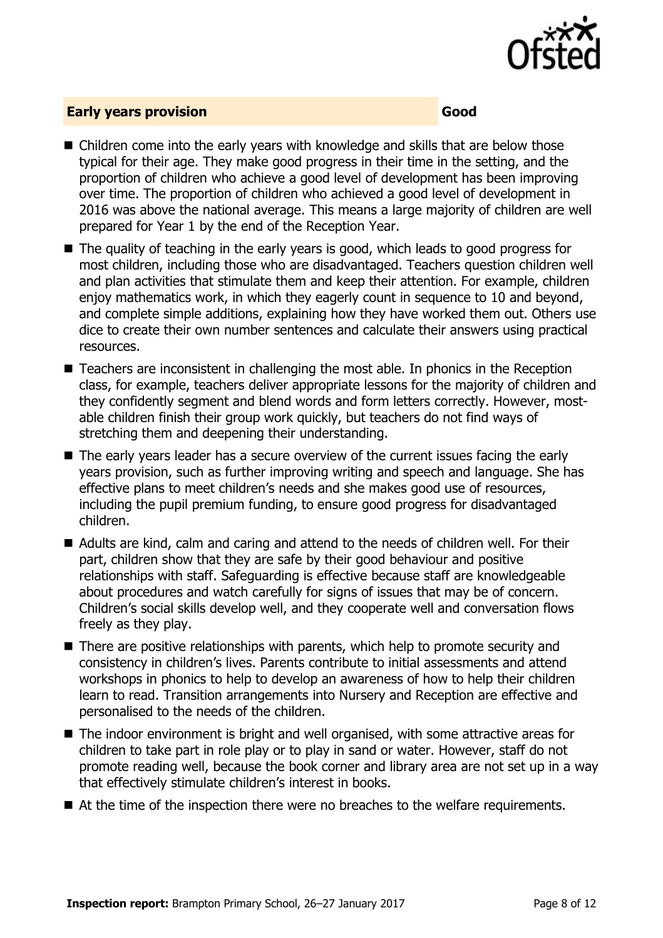

#### **Early years provision Good Good**

- Children come into the early years with knowledge and skills that are below those typical for their age. They make good progress in their time in the setting, and the proportion of children who achieve a good level of development has been improving over time. The proportion of children who achieved a good level of development in 2016 was above the national average. This means a large majority of children are well prepared for Year 1 by the end of the Reception Year.
- The quality of teaching in the early years is good, which leads to good progress for most children, including those who are disadvantaged. Teachers question children well and plan activities that stimulate them and keep their attention. For example, children enjoy mathematics work, in which they eagerly count in sequence to 10 and beyond, and complete simple additions, explaining how they have worked them out. Others use dice to create their own number sentences and calculate their answers using practical resources.
- Teachers are inconsistent in challenging the most able. In phonics in the Reception class, for example, teachers deliver appropriate lessons for the majority of children and they confidently segment and blend words and form letters correctly. However, mostable children finish their group work quickly, but teachers do not find ways of stretching them and deepening their understanding.
- The early years leader has a secure overview of the current issues facing the early years provision, such as further improving writing and speech and language. She has effective plans to meet children's needs and she makes good use of resources, including the pupil premium funding, to ensure good progress for disadvantaged children.
- Adults are kind, calm and caring and attend to the needs of children well. For their part, children show that they are safe by their good behaviour and positive relationships with staff. Safeguarding is effective because staff are knowledgeable about procedures and watch carefully for signs of issues that may be of concern. Children's social skills develop well, and they cooperate well and conversation flows freely as they play.
- There are positive relationships with parents, which help to promote security and consistency in children's lives. Parents contribute to initial assessments and attend workshops in phonics to help to develop an awareness of how to help their children learn to read. Transition arrangements into Nursery and Reception are effective and personalised to the needs of the children.
- The indoor environment is bright and well organised, with some attractive areas for children to take part in role play or to play in sand or water. However, staff do not promote reading well, because the book corner and library area are not set up in a way that effectively stimulate children's interest in books.
- At the time of the inspection there were no breaches to the welfare requirements.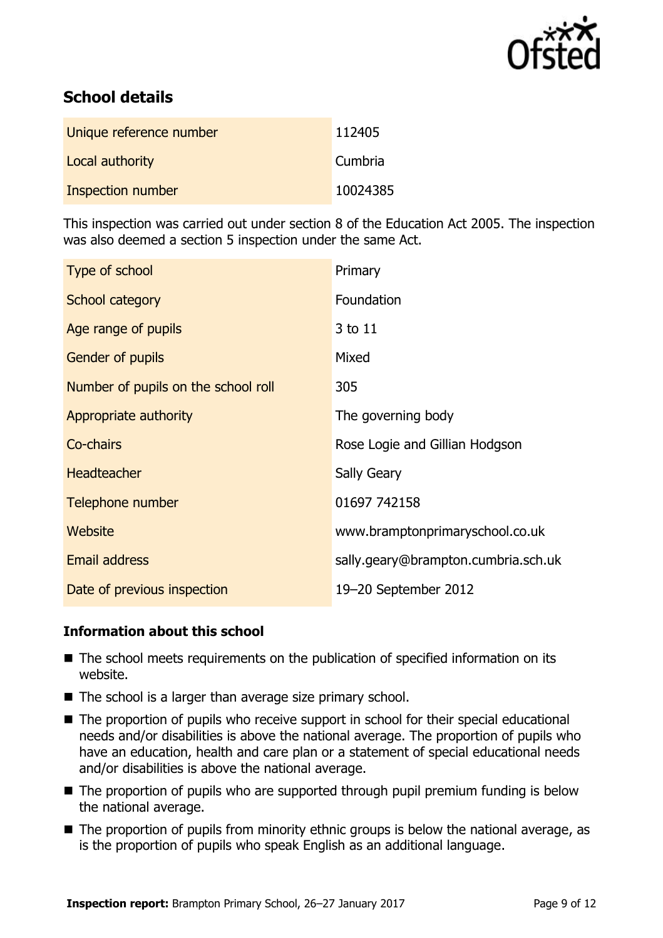

# **School details**

| Unique reference number | 112405   |
|-------------------------|----------|
| Local authority         | Cumbria  |
| Inspection number       | 10024385 |

This inspection was carried out under section 8 of the Education Act 2005. The inspection was also deemed a section 5 inspection under the same Act.

| Type of school                      | Primary                             |
|-------------------------------------|-------------------------------------|
| <b>School category</b>              | Foundation                          |
| Age range of pupils                 | 3 to 11                             |
| Gender of pupils                    | Mixed                               |
| Number of pupils on the school roll | 305                                 |
| Appropriate authority               | The governing body                  |
| Co-chairs                           | Rose Logie and Gillian Hodgson      |
| <b>Headteacher</b>                  | <b>Sally Geary</b>                  |
| Telephone number                    | 01697 742158                        |
| <b>Website</b>                      | www.bramptonprimaryschool.co.uk     |
| <b>Email address</b>                | sally.geary@brampton.cumbria.sch.uk |
| Date of previous inspection         | 19-20 September 2012                |

#### **Information about this school**

- The school meets requirements on the publication of specified information on its website.
- $\blacksquare$  The school is a larger than average size primary school.
- The proportion of pupils who receive support in school for their special educational needs and/or disabilities is above the national average. The proportion of pupils who have an education, health and care plan or a statement of special educational needs and/or disabilities is above the national average.
- The proportion of pupils who are supported through pupil premium funding is below the national average.
- The proportion of pupils from minority ethnic groups is below the national average, as is the proportion of pupils who speak English as an additional language.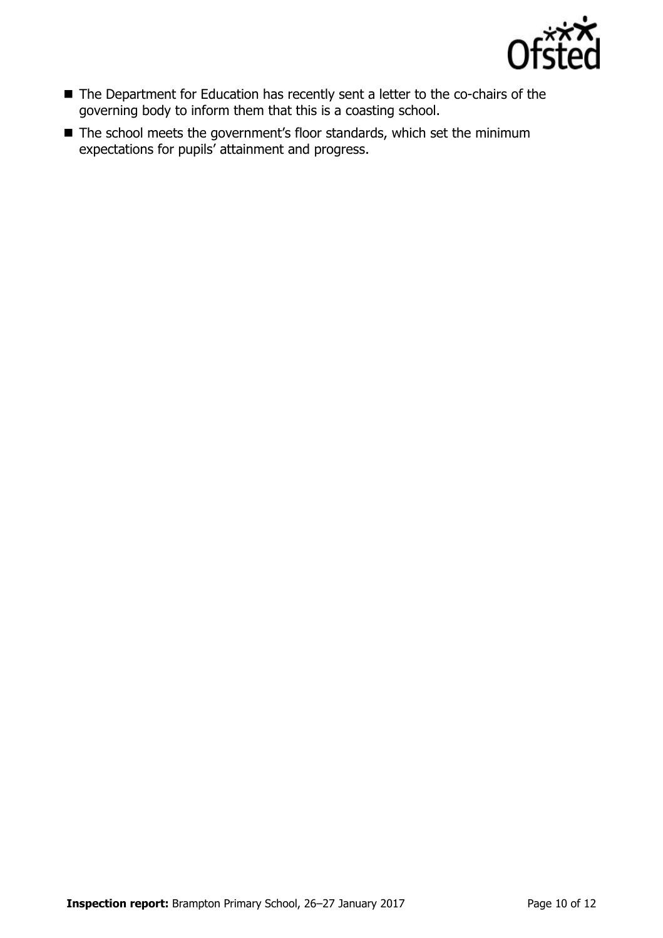

- The Department for Education has recently sent a letter to the co-chairs of the governing body to inform them that this is a coasting school.
- The school meets the government's floor standards, which set the minimum expectations for pupils' attainment and progress.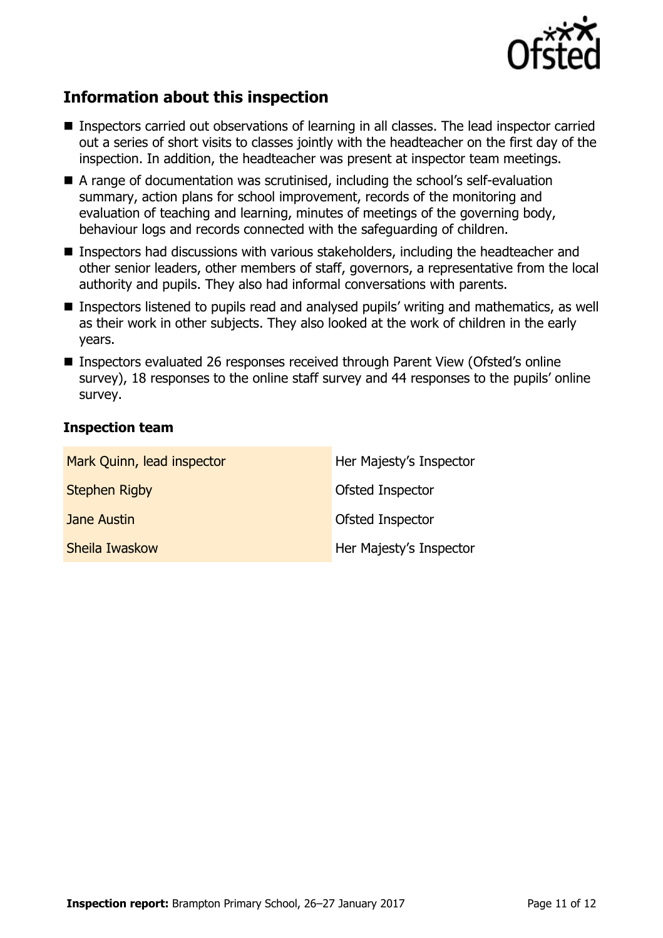

# **Information about this inspection**

- Inspectors carried out observations of learning in all classes. The lead inspector carried out a series of short visits to classes jointly with the headteacher on the first day of the inspection. In addition, the headteacher was present at inspector team meetings.
- A range of documentation was scrutinised, including the school's self-evaluation summary, action plans for school improvement, records of the monitoring and evaluation of teaching and learning, minutes of meetings of the governing body, behaviour logs and records connected with the safeguarding of children.
- Inspectors had discussions with various stakeholders, including the headteacher and other senior leaders, other members of staff, governors, a representative from the local authority and pupils. They also had informal conversations with parents.
- Inspectors listened to pupils read and analysed pupils' writing and mathematics, as well as their work in other subjects. They also looked at the work of children in the early years.
- Inspectors evaluated 26 responses received through Parent View (Ofsted's online survey), 18 responses to the online staff survey and 44 responses to the pupils' online survey.

#### **Inspection team**

| Mark Quinn, lead inspector | Her Majesty's Inspector |
|----------------------------|-------------------------|
| <b>Stephen Rigby</b>       | Ofsted Inspector        |
| Jane Austin                | Ofsted Inspector        |
| Sheila Iwaskow             | Her Majesty's Inspector |